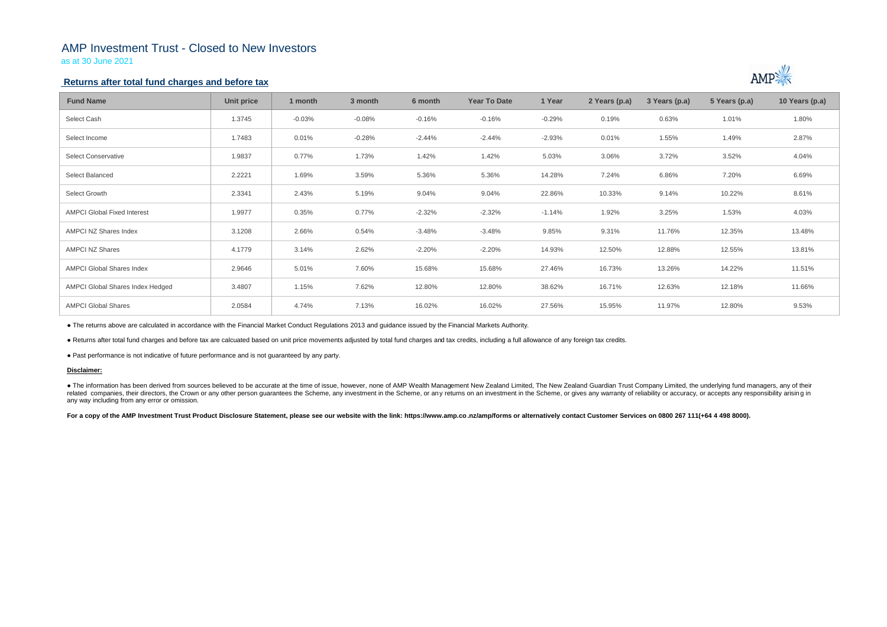# AMP Investment Trust - Closed to New Investors

as at 30 June 2021

## **Returns after total fund charges and before tax**

| <b>Fund Name</b>                   | Unit price | 1 month  | 3 month  | 6 month  | <b>Year To Date</b> | 1 Year   | 2 Years (p.a) | 3 Years (p.a) | 5 Years (p.a) | 10 Years (p.a) |
|------------------------------------|------------|----------|----------|----------|---------------------|----------|---------------|---------------|---------------|----------------|
| Select Cash                        | 1.3745     | $-0.03%$ | $-0.08%$ | $-0.16%$ | $-0.16%$            | $-0.29%$ | 0.19%         | 0.63%         | 1.01%         | 1.80%          |
| Select Income                      | 1.7483     | 0.01%    | $-0.28%$ | $-2.44%$ | $-2.44%$            | $-2.93%$ | 0.01%         | 1.55%         | 1.49%         | 2.87%          |
| <b>Select Conservative</b>         | 1.9837     | 0.77%    | 1.73%    | 1.42%    | 1.42%               | 5.03%    | 3.06%         | 3.72%         | 3.52%         | 4.04%          |
| Select Balanced                    | 2.2221     | 1.69%    | 3.59%    | 5.36%    | 5.36%               | 14.28%   | 7.24%         | 6.86%         | 7.20%         | 6.69%          |
| Select Growth                      | 2.3341     | 2.43%    | 5.19%    | 9.04%    | 9.04%               | 22.86%   | 10.33%        | 9.14%         | 10.22%        | 8.61%          |
| <b>AMPCI Global Fixed Interest</b> | 1.9977     | 0.35%    | 0.77%    | $-2.32%$ | $-2.32%$            | $-1.14%$ | 1.92%         | 3.25%         | 1.53%         | 4.03%          |
| <b>AMPCI NZ Shares Index</b>       | 3.1208     | 2.66%    | 0.54%    | $-3.48%$ | $-3.48%$            | 9.85%    | 9.31%         | 11.76%        | 12.35%        | 13.48%         |
| <b>AMPCI NZ Shares</b>             | 4.1779     | 3.14%    | 2.62%    | $-2.20%$ | $-2.20%$            | 14.93%   | 12.50%        | 12.88%        | 12.55%        | 13.81%         |
| <b>AMPCI Global Shares Index</b>   | 2.9646     | 5.01%    | 7.60%    | 15.68%   | 15.68%              | 27.46%   | 16.73%        | 13.26%        | 14.22%        | 11.51%         |
| AMPCI Global Shares Index Hedged   | 3.4807     | 1.15%    | 7.62%    | 12.80%   | 12.80%              | 38.62%   | 16.71%        | 12.63%        | 12.18%        | 11.66%         |
| <b>AMPCI Global Shares</b>         | 2.0584     | 4.74%    | 7.13%    | 16.02%   | 16.02%              | 27.56%   | 15.95%        | 11.97%        | 12.80%        | 9.53%          |

• The information has been derived from sources believed to be accurate at the time of issue, however, none of AMP Wealth Management New Zealand Limited, The New Zealand Guardian Trust Company Limited, the underlying fund related companies, their directors, the Crown or any other person quarantees the Scheme, any investment in the Scheme, or any returns on an investment in the Scheme, or gives any warranty of reliability or accuracy, or acc any way including from any error or omission.

For a copy of the AMP Investment Trust Product Disclosure Statement, please see our website with the link: https://www.amp.co.nz/amp/forms or alternatively contact Customer Services on 0800 267 111(+64 4 498 8000).



● The returns above are calculated in accordance with the Financial Market Conduct Regulations 2013 and guidance issued by the Financial Markets Authority.

● Returns after total fund charges and before tax are calcuated based on unit price movements adjusted by total fund charges and tax credits, including a full allowance of any foreign tax credits.

● Past performance is not indicative of future performance and is not guaranteed by any party.

### **Disclaimer:**